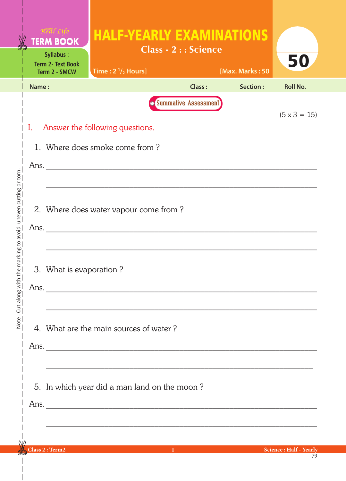|                                              |       | <b>TERM BOOK</b><br>Syllabus:<br><b>Term 2- Text Book</b><br>Term 2 - SMCW                                                                                                 | <b>HALF-YEARLY EXAMINATIONS</b><br>Time: $2\frac{1}{2}$ Hours]                                                                    | <b>Class - 2:: Science</b>            | [Max. Marks: 50 | 50                             |  |  |  |
|----------------------------------------------|-------|----------------------------------------------------------------------------------------------------------------------------------------------------------------------------|-----------------------------------------------------------------------------------------------------------------------------------|---------------------------------------|-----------------|--------------------------------|--|--|--|
|                                              | Name: |                                                                                                                                                                            |                                                                                                                                   | Class:                                | Section:        | <b>Roll No.</b>                |  |  |  |
| the marking to avoid uneven cutting or torn. | I.    | <b>O</b> Summative Assessment<br>$(5 \times 3 = 15)$<br>Answer the following questions.<br>1. Where does smoke come from?<br>Ans.<br>2. Where does water vapour come from? |                                                                                                                                   |                                       |                 |                                |  |  |  |
| Note: Cut along with                         |       | 3. What is evaporation?                                                                                                                                                    | and the control of the control of the control of the control of the control of the control of the control of the                  |                                       |                 |                                |  |  |  |
|                                              |       |                                                                                                                                                                            | 4. What are the main sources of water?                                                                                            |                                       |                 |                                |  |  |  |
|                                              |       |                                                                                                                                                                            | 5. In which year did a man land on the moon?<br>,我们也不能在这里的时候,我们也不能在这里的时候,我们也不能会在这里的时候,我们也不能会在这里的时候,我们也不能会在这里的时候,我们也不能会在这里的时候,我们也不 |                                       |                 |                                |  |  |  |
|                                              |       | Class 2: Term2                                                                                                                                                             |                                                                                                                                   | $\sim 10^{-10}$ and $\sim 10^{-10}$ . |                 | <b>Science : Half - Yearly</b> |  |  |  |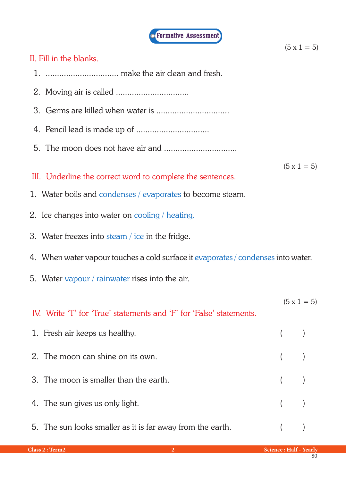

 $(5 \times 1 = 5)$ 

## II. Fill in the blanks.

- 1. ................................ make the air clean and fresh.
- 2. Moving air is called ................................
- 3. Germs are killed when water is ................................
- 4. Pencil lead is made up of ................................
- 5. The moon does not have air and ................................

 $(5 \times 1 = 5)$ 

- III. Underline the correct word to complete the sentences.
- 1. Water boils and condenses / evaporates to become steam.
- 2. Ice changes into water on cooling / heating.
- 3. Water freezes into steam / ice in the fridge.
- 4. When water vapour touches a cold surface it evaporates / condenses into water.
- 5. Water vapour / rainwater rises into the air.

IV. Write 'T' for 'True' statements and 'F' for 'False' statements.  $(5 \times 1 = 5)$ 

| 1. Fresh air keeps us healthy.                             | $($ )   |  |
|------------------------------------------------------------|---------|--|
| 2. The moon can shine on its own.                          | $($ )   |  |
| 3. The moon is smaller than the earth.                     | $($ $)$ |  |
| 4. The sun gives us only light.                            | $($ )   |  |
| 5. The sun looks smaller as it is far away from the earth. |         |  |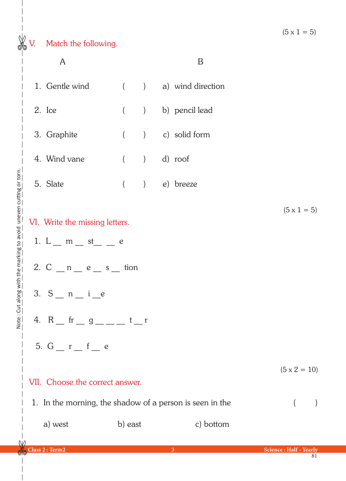

|                                                                                                                                                                                                                                             | A                                    |         |  |  | B                  |                     |  |
|---------------------------------------------------------------------------------------------------------------------------------------------------------------------------------------------------------------------------------------------|--------------------------------------|---------|--|--|--------------------|---------------------|--|
|                                                                                                                                                                                                                                             | 1. Gentle wind ( ) a) wind direction |         |  |  |                    |                     |  |
|                                                                                                                                                                                                                                             | 2. Ice                               |         |  |  | ( ) b) pencil lead |                     |  |
|                                                                                                                                                                                                                                             | 3. Graphite                          |         |  |  | ( ) c) solid form  |                     |  |
|                                                                                                                                                                                                                                             | 4. Wind vane ( ) d) roof             |         |  |  |                    |                     |  |
|                                                                                                                                                                                                                                             | 5. Slate                             |         |  |  | ( ) e) breeze      |                     |  |
| $(5 \times 1 = 5)$<br>VI. Write the missing letters.<br>1. L _ m _ st _ _ e<br>2. $C_{n} = n - e_{n} = s_{n}$ tion<br>3. $S_{n}$ $n_{i}$ $i_{e}$<br>4. R $_{\rm{m}}$ fr $_{\rm{m}}$ g $_{\rm{m}}$ and t $_{\rm{m}}$ r<br>5. $G_r$ $r_f$ $e$ |                                      |         |  |  |                    |                     |  |
|                                                                                                                                                                                                                                             | VII. Choose the correct answer.      |         |  |  |                    | $(5 \times 2 = 10)$ |  |
| 1. In the morning, the shadow of a person is seen in the                                                                                                                                                                                    |                                      |         |  |  |                    | $\left($            |  |
|                                                                                                                                                                                                                                             | a) west                              | b) east |  |  | c) bottom          |                     |  |